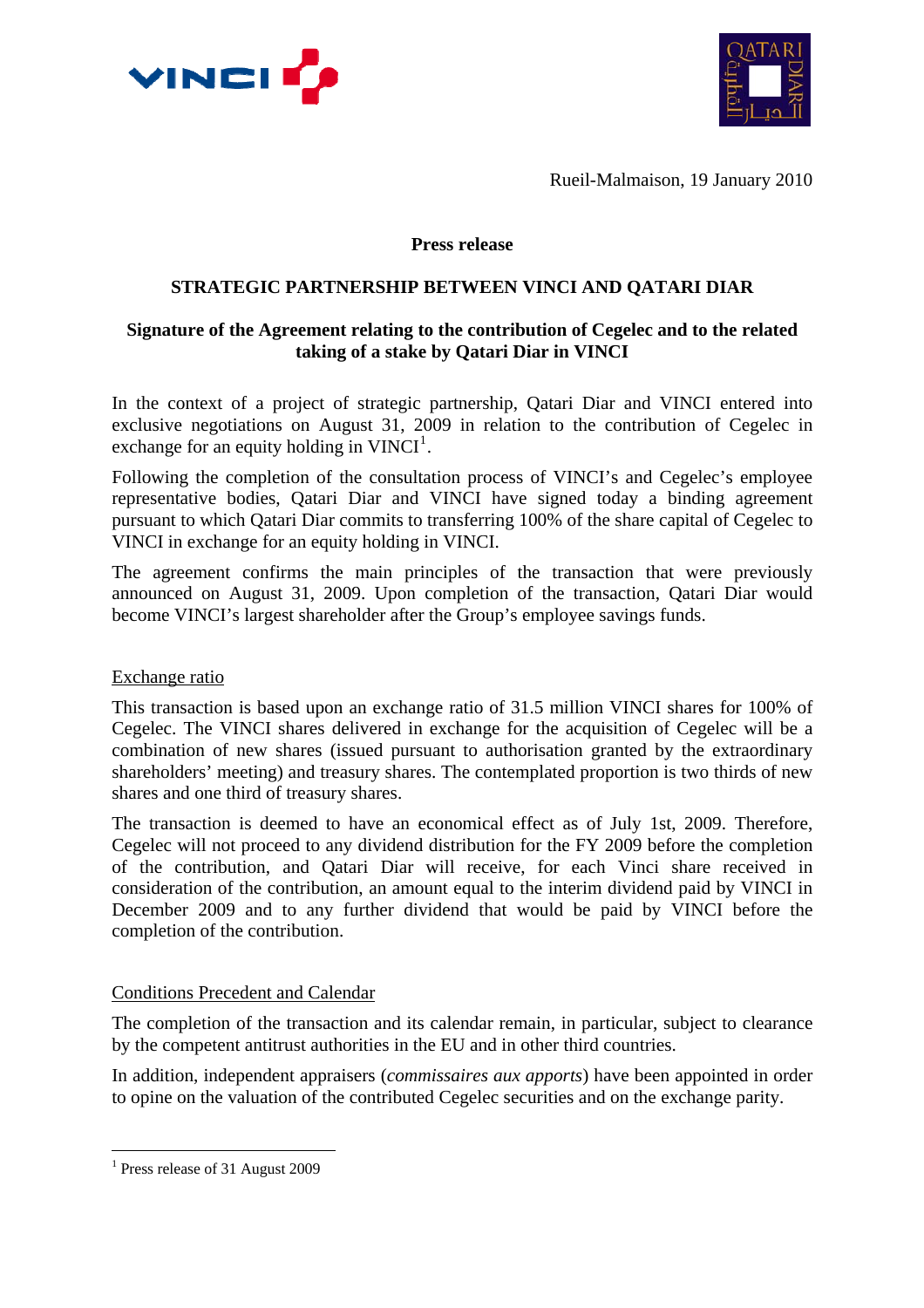



Rueil-Malmaison, 19 January 2010

## **Press release**

## **STRATEGIC PARTNERSHIP BETWEEN VINCI AND QATARI DIAR**

# **Signature of the Agreement relating to the contribution of Cegelec and to the related taking of a stake by Qatari Diar in VINCI**

In the context of a project of strategic partnership, Qatari Diar and VINCI entered into exclusive negotiations on August 31, 2009 in relation to the contribution of Cegelec in exchange for an equity holding in  $VINCI<sup>1</sup>$  $VINCI<sup>1</sup>$  $VINCI<sup>1</sup>$ .

Following the completion of the consultation process of VINCI's and Cegelec's employee representative bodies, Qatari Diar and VINCI have signed today a binding agreement pursuant to which Qatari Diar commits to transferring 100% of the share capital of Cegelec to VINCI in exchange for an equity holding in VINCI.

The agreement confirms the main principles of the transaction that were previously announced on August 31, 2009. Upon completion of the transaction, Qatari Diar would become VINCI's largest shareholder after the Group's employee savings funds.

#### Exchange ratio

This transaction is based upon an exchange ratio of 31.5 million VINCI shares for 100% of Cegelec. The VINCI shares delivered in exchange for the acquisition of Cegelec will be a combination of new shares (issued pursuant to authorisation granted by the extraordinary shareholders' meeting) and treasury shares. The contemplated proportion is two thirds of new shares and one third of treasury shares.

The transaction is deemed to have an economical effect as of July 1st, 2009. Therefore, Cegelec will not proceed to any dividend distribution for the FY 2009 before the completion of the contribution, and Qatari Diar will receive, for each Vinci share received in consideration of the contribution, an amount equal to the interim dividend paid by VINCI in December 2009 and to any further dividend that would be paid by VINCI before the completion of the contribution.

# Conditions Precedent and Calendar

The completion of the transaction and its calendar remain, in particular, subject to clearance by the competent antitrust authorities in the EU and in other third countries.

In addition, independent appraisers (*commissaires aux apports*) have been appointed in order to opine on the valuation of the contributed Cegelec securities and on the exchange parity.

 $\overline{a}$ 

<span id="page-0-0"></span><sup>&</sup>lt;sup>1</sup> Press release of 31 August 2009